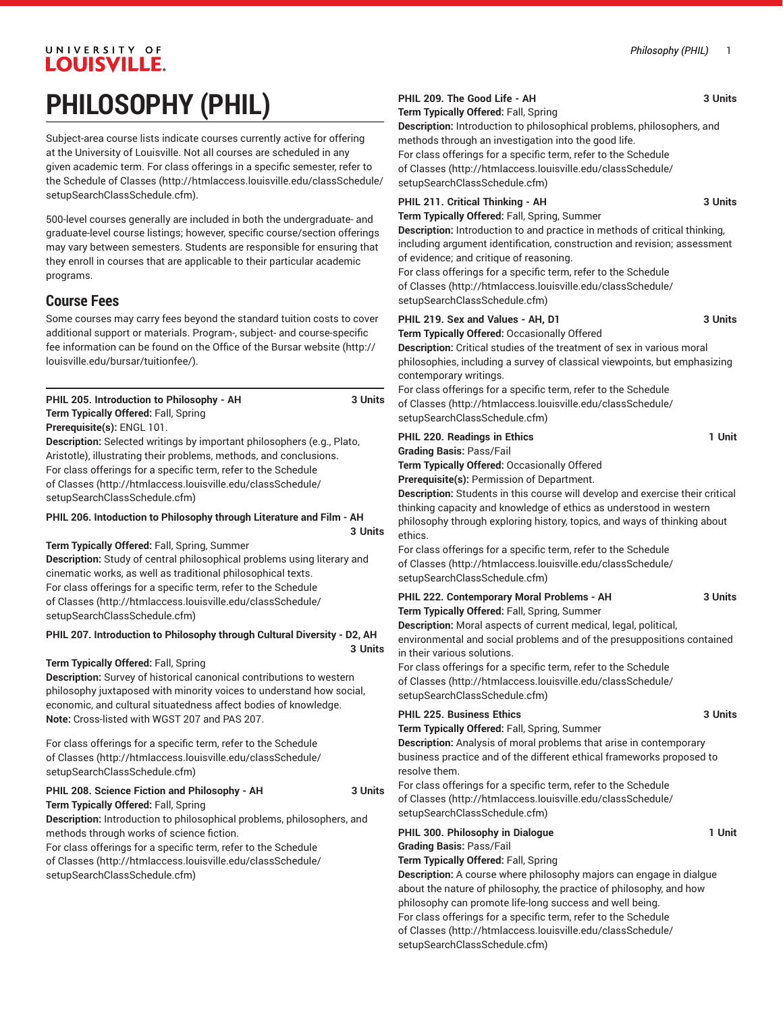# UNIVERSITY OF LOUISVILLE. **PHILOSOPHY (PHIL)**

Subject-area course lists indicate courses currently active for offering at the University of Louisville. Not all courses are scheduled in any given academic term. For class offerings in a specific semester, refer to the [Schedule of Classes](http://htmlaccess.louisville.edu/classSchedule/setupSearchClassSchedule.cfm) ([http://htmlaccess.louisville.edu/classSchedule/](http://htmlaccess.louisville.edu/classSchedule/setupSearchClassSchedule.cfm) [setupSearchClassSchedule.cfm\)](http://htmlaccess.louisville.edu/classSchedule/setupSearchClassSchedule.cfm).

500-level courses generally are included in both the undergraduate- and graduate-level course listings; however, specific course/section offerings may vary between semesters. Students are responsible for ensuring that they enroll in courses that are applicable to their particular academic programs.

## **Course Fees**

Some courses may carry fees beyond the standard tuition costs to cover additional support or materials. Program-, subject- and course-specific fee information can be found on the [Office of the Bursar website](http://louisville.edu/bursar/tuitionfee/) ([http://](http://louisville.edu/bursar/tuitionfee/) [louisville.edu/bursar/tuitionfee/](http://louisville.edu/bursar/tuitionfee/)).

| PHIL 205. Introduction to Philosophy - AH                                     | 3 Units |
|-------------------------------------------------------------------------------|---------|
| Term Typically Offered: Fall, Spring                                          |         |
| Prerequisite(s): ENGL 101.                                                    |         |
| <b>Description:</b> Selected writings by important philosophers (e.g., Plato, |         |
| Aristotle), illustrating their problems, methods, and conclusions.            |         |

For class offerings for a specific term, refer to the [Schedule](http://htmlaccess.louisville.edu/classSchedule/setupSearchClassSchedule.cfm) [of Classes \(http://htmlaccess.louisville.edu/classSchedule/](http://htmlaccess.louisville.edu/classSchedule/setupSearchClassSchedule.cfm) [setupSearchClassSchedule.cfm\)](http://htmlaccess.louisville.edu/classSchedule/setupSearchClassSchedule.cfm)

#### **PHIL 206. Intoduction to Philosophy through Literature and Film - AH**

**3 Units**

**3 Units**

**Term Typically Offered:** Fall, Spring, Summer

**Description:** Study of central philosophical problems using literary and cinematic works, as well as traditional philosophical texts. For class offerings for a specific term, refer to the [Schedule](http://htmlaccess.louisville.edu/classSchedule/setupSearchClassSchedule.cfm) [of Classes \(http://htmlaccess.louisville.edu/classSchedule/](http://htmlaccess.louisville.edu/classSchedule/setupSearchClassSchedule.cfm) [setupSearchClassSchedule.cfm\)](http://htmlaccess.louisville.edu/classSchedule/setupSearchClassSchedule.cfm)

**PHIL 207. Introduction to Philosophy through Cultural Diversity - D2, AH**

#### **Term Typically Offered:** Fall, Spring

**Description:** Survey of historical canonical contributions to western philosophy juxtaposed with minority voices to understand how social, economic, and cultural situatedness affect bodies of knowledge. **Note:** Cross-listed with WGST 207 and PAS 207.

For class offerings for a specific term, refer to the [Schedule](http://htmlaccess.louisville.edu/classSchedule/setupSearchClassSchedule.cfm) [of Classes \(http://htmlaccess.louisville.edu/classSchedule/](http://htmlaccess.louisville.edu/classSchedule/setupSearchClassSchedule.cfm) [setupSearchClassSchedule.cfm\)](http://htmlaccess.louisville.edu/classSchedule/setupSearchClassSchedule.cfm)

## PHIL 208. Science Fiction and Philosophy - AH 3 Units

**Term Typically Offered:** Fall, Spring

**Description:** Introduction to philosophical problems, philosophers, and methods through works of science fiction.

For class offerings for a specific term, refer to the [Schedule](http://htmlaccess.louisville.edu/classSchedule/setupSearchClassSchedule.cfm) [of Classes \(http://htmlaccess.louisville.edu/classSchedule/](http://htmlaccess.louisville.edu/classSchedule/setupSearchClassSchedule.cfm) [setupSearchClassSchedule.cfm\)](http://htmlaccess.louisville.edu/classSchedule/setupSearchClassSchedule.cfm)

#### **PHIL 209. The Good Life - AH 3 Units**

**Term Typically Offered:** Fall, Spring

**Description:** Introduction to philosophical problems, philosophers, and methods through an investigation into the good life. For class offerings for a specific term, refer to the [Schedule](http://htmlaccess.louisville.edu/classSchedule/setupSearchClassSchedule.cfm) [of Classes](http://htmlaccess.louisville.edu/classSchedule/setupSearchClassSchedule.cfm) ([http://htmlaccess.louisville.edu/classSchedule/](http://htmlaccess.louisville.edu/classSchedule/setupSearchClassSchedule.cfm)

[setupSearchClassSchedule.cfm\)](http://htmlaccess.louisville.edu/classSchedule/setupSearchClassSchedule.cfm)

# **PHIL 211. Critical Thinking - AH 3 Units**

**Term Typically Offered:** Fall, Spring, Summer

**Description:** Introduction to and practice in methods of critical thinking, including argument identification, construction and revision; assessment of evidence; and critique of reasoning.

For class offerings for a specific term, refer to the [Schedule](http://htmlaccess.louisville.edu/classSchedule/setupSearchClassSchedule.cfm) [of Classes](http://htmlaccess.louisville.edu/classSchedule/setupSearchClassSchedule.cfm) ([http://htmlaccess.louisville.edu/classSchedule/](http://htmlaccess.louisville.edu/classSchedule/setupSearchClassSchedule.cfm) [setupSearchClassSchedule.cfm\)](http://htmlaccess.louisville.edu/classSchedule/setupSearchClassSchedule.cfm)

### **PHIL 219. Sex and Values - AH, D1 3 Units Term Typically Offered:** Occasionally Offered

**Description:** Critical studies of the treatment of sex in various moral philosophies, including a survey of classical viewpoints, but emphasizing contemporary writings.

For class offerings for a specific term, refer to the [Schedule](http://htmlaccess.louisville.edu/classSchedule/setupSearchClassSchedule.cfm) [of Classes](http://htmlaccess.louisville.edu/classSchedule/setupSearchClassSchedule.cfm) ([http://htmlaccess.louisville.edu/classSchedule/](http://htmlaccess.louisville.edu/classSchedule/setupSearchClassSchedule.cfm) [setupSearchClassSchedule.cfm\)](http://htmlaccess.louisville.edu/classSchedule/setupSearchClassSchedule.cfm)

| <b>PHIL 220. Readings in Ethics</b>                 | 1 Unit |
|-----------------------------------------------------|--------|
| <b>Grading Basis: Pass/Fail</b>                     |        |
| <b>Term Typically Offered: Occasionally Offered</b> |        |
| <b>Prerequisite(s): Permission of Department.</b>   |        |

**Description:** Students in this course will develop and exercise their critical thinking capacity and knowledge of ethics as understood in western philosophy through exploring history, topics, and ways of thinking about ethics.

For class offerings for a specific term, refer to the [Schedule](http://htmlaccess.louisville.edu/classSchedule/setupSearchClassSchedule.cfm) [of Classes](http://htmlaccess.louisville.edu/classSchedule/setupSearchClassSchedule.cfm) ([http://htmlaccess.louisville.edu/classSchedule/](http://htmlaccess.louisville.edu/classSchedule/setupSearchClassSchedule.cfm) [setupSearchClassSchedule.cfm\)](http://htmlaccess.louisville.edu/classSchedule/setupSearchClassSchedule.cfm)

| PHIL 222. Contemporary Moral Problems - AH   | 3 Units |
|----------------------------------------------|---------|
| Term Typically Offered: Fall, Spring, Summer |         |

**Description:** Moral aspects of current medical, legal, political, environmental and social problems and of the presuppositions contained

in their various solutions. For class offerings for a specific term, refer to the [Schedule](http://htmlaccess.louisville.edu/classSchedule/setupSearchClassSchedule.cfm) [of Classes](http://htmlaccess.louisville.edu/classSchedule/setupSearchClassSchedule.cfm) ([http://htmlaccess.louisville.edu/classSchedule/](http://htmlaccess.louisville.edu/classSchedule/setupSearchClassSchedule.cfm) [setupSearchClassSchedule.cfm\)](http://htmlaccess.louisville.edu/classSchedule/setupSearchClassSchedule.cfm)

#### **PHIL 225. Business Ethics 3 Units** 3 Units

**Term Typically Offered:** Fall, Spring, Summer

**Description:** Analysis of moral problems that arise in contemporary business practice and of the different ethical frameworks proposed to resolve them.

For class offerings for a specific term, refer to the [Schedule](http://htmlaccess.louisville.edu/classSchedule/setupSearchClassSchedule.cfm) [of Classes](http://htmlaccess.louisville.edu/classSchedule/setupSearchClassSchedule.cfm) ([http://htmlaccess.louisville.edu/classSchedule/](http://htmlaccess.louisville.edu/classSchedule/setupSearchClassSchedule.cfm) [setupSearchClassSchedule.cfm\)](http://htmlaccess.louisville.edu/classSchedule/setupSearchClassSchedule.cfm)

#### **PHIL 300. Philosophy in Dialogue 1 Unit Grading Basis:** Pass/Fail **Term Typically Offered:** Fall, Spring **Description:** A course where philosophy majors can engage in dialgue about the nature of philosophy, the practice of philosophy, and how philosophy can promote life-long success and well being. For class offerings for a specific term, refer to the [Schedule](http://htmlaccess.louisville.edu/classSchedule/setupSearchClassSchedule.cfm) [of Classes](http://htmlaccess.louisville.edu/classSchedule/setupSearchClassSchedule.cfm) ([http://htmlaccess.louisville.edu/classSchedule/](http://htmlaccess.louisville.edu/classSchedule/setupSearchClassSchedule.cfm) [setupSearchClassSchedule.cfm\)](http://htmlaccess.louisville.edu/classSchedule/setupSearchClassSchedule.cfm)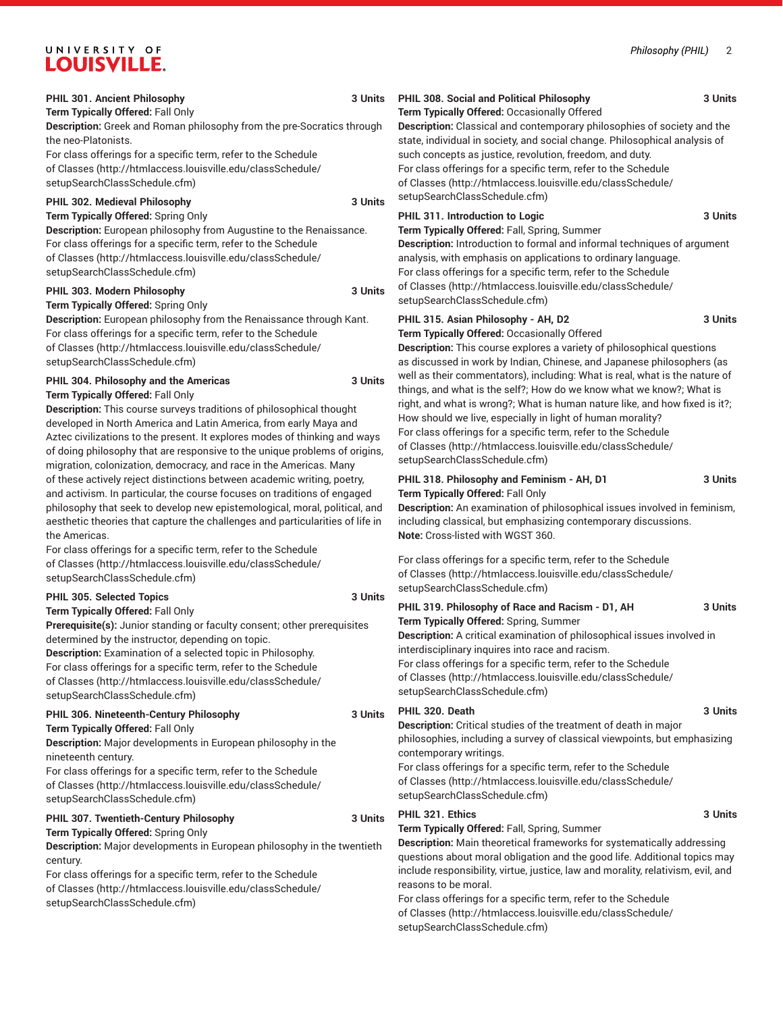# UNIVERSITY OF **I QHISVILLI**

**Term Typically Offered:** Spring Only

[setupSearchClassSchedule.cfm\)](http://htmlaccess.louisville.edu/classSchedule/setupSearchClassSchedule.cfm)

century.

**Description:** Major developments in European philosophy in the twentieth

For class offerings for a specific term, refer to the [Schedule](http://htmlaccess.louisville.edu/classSchedule/setupSearchClassSchedule.cfm) [of Classes \(http://htmlaccess.louisville.edu/classSchedule/](http://htmlaccess.louisville.edu/classSchedule/setupSearchClassSchedule.cfm)

| ----------                                                                                                                                                                                                                                                                                                                                                                                                                                                                                                                                                                                                                                                                                                                                                                                                                                                                    |                    |                                                                                                                                                                                                                                                                                                                                                                                      |
|-------------------------------------------------------------------------------------------------------------------------------------------------------------------------------------------------------------------------------------------------------------------------------------------------------------------------------------------------------------------------------------------------------------------------------------------------------------------------------------------------------------------------------------------------------------------------------------------------------------------------------------------------------------------------------------------------------------------------------------------------------------------------------------------------------------------------------------------------------------------------------|--------------------|--------------------------------------------------------------------------------------------------------------------------------------------------------------------------------------------------------------------------------------------------------------------------------------------------------------------------------------------------------------------------------------|
| PHIL 301. Ancient Philosophy<br>Term Typically Offered: Fall Only<br>Description: Greek and Roman philosophy from the pre-Socratics through<br>the neo-Platonists.<br>For class offerings for a specific term, refer to the Schedule<br>of Classes (http://htmlaccess.louisville.edu/classSchedule/<br>setupSearchClassSchedule.cfm)<br>PHIL 302. Medieval Philosophy                                                                                                                                                                                                                                                                                                                                                                                                                                                                                                         | 3 Units<br>3 Units | PHIL 308. Social and Political Philosophy<br>Term Typically Offered: Occasionally Offered<br>Description: Classical and contemporary phil<br>state, individual in society, and social change<br>such concepts as justice, revolution, freedom<br>For class offerings for a specific term, refer to<br>of Classes (http://htmlaccess.louisville.edu/<br>setupSearchClassSchedule.cfm) |
| Term Typically Offered: Spring Only<br>Description: European philosophy from Augustine to the Renaissance.<br>For class offerings for a specific term, refer to the Schedule<br>of Classes (http://htmlaccess.louisville.edu/classSchedule/<br>setupSearchClassSchedule.cfm)<br>PHIL 303. Modern Philosophy<br>Term Typically Offered: Spring Only                                                                                                                                                                                                                                                                                                                                                                                                                                                                                                                            | 3 Units            | PHIL 311. Introduction to Logic<br>Term Typically Offered: Fall, Spring, Summer<br>Description: Introduction to formal and inforr<br>analysis, with emphasis on applications to or<br>For class offerings for a specific term, refer to<br>of Classes (http://htmlaccess.louisville.edu/<br>setupSearchClassSchedule.cfm)                                                            |
| Description: European philosophy from the Renaissance through Kant.<br>For class offerings for a specific term, refer to the Schedule<br>of Classes (http://htmlaccess.louisville.edu/classSchedule/<br>setupSearchClassSchedule.cfm)                                                                                                                                                                                                                                                                                                                                                                                                                                                                                                                                                                                                                                         |                    | PHIL 315. Asian Philosophy - AH, D2<br>Term Typically Offered: Occasionally Offered<br>Description: This course explores a variety of<br>as discussed in work by Indian, Chinese, and                                                                                                                                                                                                |
| PHIL 304. Philosophy and the Americas<br>3 Units<br>Term Typically Offered: Fall Only<br>Description: This course surveys traditions of philosophical thought<br>developed in North America and Latin America, from early Maya and<br>Aztec civilizations to the present. It explores modes of thinking and ways<br>of doing philosophy that are responsive to the unique problems of origins,<br>migration, colonization, democracy, and race in the Americas. Many<br>of these actively reject distinctions between academic writing, poetry,<br>and activism. In particular, the course focuses on traditions of engaged<br>philosophy that seek to develop new epistemological, moral, political, and<br>aesthetic theories that capture the challenges and particularities of life in<br>the Americas.<br>For class offerings for a specific term, refer to the Schedule |                    | well as their commentators), including: What<br>things, and what is the self?; How do we know<br>right, and what is wrong?; What is human nat<br>How should we live, especially in light of hum<br>For class offerings for a specific term, refer to<br>of Classes (http://htmlaccess.louisville.edu/<br>setupSearchClassSchedule.cfm)                                               |
|                                                                                                                                                                                                                                                                                                                                                                                                                                                                                                                                                                                                                                                                                                                                                                                                                                                                               |                    | PHIL 318. Philosophy and Feminism - AH, D<br>Term Typically Offered: Fall Only<br>Description: An examination of philosophical<br>including classical, but emphasizing contem<br>Note: Cross-listed with WGST 360.                                                                                                                                                                   |
| of Classes (http://htmlaccess.louisville.edu/classSchedule/<br>setupSearchClassSchedule.cfm)<br>PHIL 305. Selected Topics                                                                                                                                                                                                                                                                                                                                                                                                                                                                                                                                                                                                                                                                                                                                                     | 3 Units            | For class offerings for a specific term, refer to<br>of Classes (http://htmlaccess.louisville.edu/<br>setupSearchClassSchedule.cfm)                                                                                                                                                                                                                                                  |
| Term Typically Offered: Fall Only<br>Prerequisite(s): Junior standing or faculty consent; other prerequisites<br>determined by the instructor, depending on topic.<br>Description: Examination of a selected topic in Philosophy.<br>For class offerings for a specific term, refer to the Schedule<br>of Classes (http://htmlaccess.louisville.edu/classSchedule/<br>setupSearchClassSchedule.cfm)                                                                                                                                                                                                                                                                                                                                                                                                                                                                           |                    | PHIL 319. Philosophy of Race and Racism -<br>Term Typically Offered: Spring, Summer<br>Description: A critical examination of philoso<br>interdisciplinary inquires into race and racisn<br>For class offerings for a specific term, refer to<br>of Classes (http://htmlaccess.louisville.edu/<br>setupSearchClassSchedule.cfm)                                                      |
| PHIL 306. Nineteenth-Century Philosophy<br>Term Typically Offered: Fall Only<br>Description: Major developments in European philosophy in the<br>nineteenth century.<br>For class offerings for a specific term, refer to the Schedule<br>of Classes (http://htmlaccess.louisville.edu/classSchedule/<br>setupSearchClassSchedule.cfm)                                                                                                                                                                                                                                                                                                                                                                                                                                                                                                                                        | 3 Units            | PHIL 320. Death<br>Description: Critical studies of the treatment<br>philosophies, including a survey of classical<br>contemporary writings.<br>For class offerings for a specific term, refer to<br>of Classes (http://htmlaccess.louisville.edu/<br>setupSearchClassSchedule.cfm)                                                                                                  |
| PHIL 307. Twentieth-Century Philosophy                                                                                                                                                                                                                                                                                                                                                                                                                                                                                                                                                                                                                                                                                                                                                                                                                                        | 3 Units            | PHIL 321. Ethics                                                                                                                                                                                                                                                                                                                                                                     |

#### **Description:** Classical and contemporary philosophies of society and the te, individual in society, and social change. Philosophical analysis of h concepts as justice, revolution, freedom, and duty.

class offerings for a specific term, refer to the [Schedule](http://htmlaccess.louisville.edu/classSchedule/setupSearchClassSchedule.cfm) lasses ([http://htmlaccess.louisville.edu/classSchedule/](http://htmlaccess.louisville.edu/classSchedule/setupSearchClassSchedule.cfm) upSearchClassSchedule.cfm)

#### **PHIL 311. Introduction to Logic 4 Contract 3 Units**

**Description:** Introduction to formal and informal techniques of argument lysis, with emphasis on applications to ordinary language. class offerings for a specific term, refer to the [Schedule](http://htmlaccess.louisville.edu/classSchedule/setupSearchClassSchedule.cfm) Classes ([http://htmlaccess.louisville.edu/classSchedule/](http://htmlaccess.louisville.edu/classSchedule/setupSearchClassSchedule.cfm) upSearchClassSchedule.cfm)

#### **Philosophy - AH, D2** 3 Units

**Cription:** This course explores a variety of philosophical questions discussed in work by Indian, Chinese, and Japanese philosophers (as as their commentators), including: What is real, what is the nature of igs, and what is the self?; How do we know what we know?; What is it, and what is wrong?; What is human nature like, and how fixed is it?; w should we live, especially in light of human morality? class offerings for a specific term, refer to the [Schedule](http://htmlaccess.louisville.edu/classSchedule/setupSearchClassSchedule.cfm) lasses ([http://htmlaccess.louisville.edu/classSchedule/](http://htmlaccess.louisville.edu/classSchedule/setupSearchClassSchedule.cfm) upSearchClassSchedule.cfm)

#### **PHIL 318. Philosophy and Feminism - AH, D1 3 Units Term Typically Offered:** Fall Only

**Description:** An examination of philosophical issues involved in feminism, luding classical, but emphasizing contemporary discussions. **Note:** Cross-listed with WGST 360.

class offerings for a specific term, refer to the [Schedule](http://htmlaccess.louisville.edu/classSchedule/setupSearchClassSchedule.cfm) lasses ([http://htmlaccess.louisville.edu/classSchedule/](http://htmlaccess.louisville.edu/classSchedule/setupSearchClassSchedule.cfm) upSearchClassSchedule.cfm)

| PHIL 319. Philosophy of Race and Racism - D1, AH                                                                                                                                                                                                                                              | 3 Units |
|-----------------------------------------------------------------------------------------------------------------------------------------------------------------------------------------------------------------------------------------------------------------------------------------------|---------|
| Term Typically Offered: Spring, Summer                                                                                                                                                                                                                                                        |         |
| Description: A critical examination of philosophical issues involved in<br>interdisciplinary inquires into race and racism.<br>For class offerings for a specific term, refer to the Schedule<br>of Classes (http://htmlaccess.louisville.edu/classSchedule/<br>setupSearchClassSchedule.cfm) |         |
| PHIL 320. Death                                                                                                                                                                                                                                                                               | 3 Units |
| <b>Description:</b> Critical studies of the treatment of death in major                                                                                                                                                                                                                       |         |
| philosophies, including a survey of classical viewpoints, but emphasizing<br>contemporary writings.<br>For class offerings for a specific term, refer to the Schedule                                                                                                                         |         |
| of Classes (http://htmlaccess.louisville.edu/classSchedule/<br>setupSearchClassSchedule.cfm)                                                                                                                                                                                                  |         |
| PHIL 321. Ethics                                                                                                                                                                                                                                                                              | 3 Units |
| Term Typically Offered: Fall, Spring, Summer                                                                                                                                                                                                                                                  |         |
| <b>Description:</b> Main theoretical frameworks for systematically addressing<br>questions about moral obligation and the good life. Additional topics may                                                                                                                                    |         |
| include responsibility, virtue, justice, law and morality, relativism, evil, and<br>reasons to be moral.                                                                                                                                                                                      |         |
| For class offerings for a specific term, refer to the Schedule                                                                                                                                                                                                                                |         |
| of Classes (http://htmlaccess.louisville.edu/classSchedule/                                                                                                                                                                                                                                   |         |

[setupSearchClassSchedule.cfm\)](http://htmlaccess.louisville.edu/classSchedule/setupSearchClassSchedule.cfm)

**PHIL 308. Social and Political Philosophy 3 Units**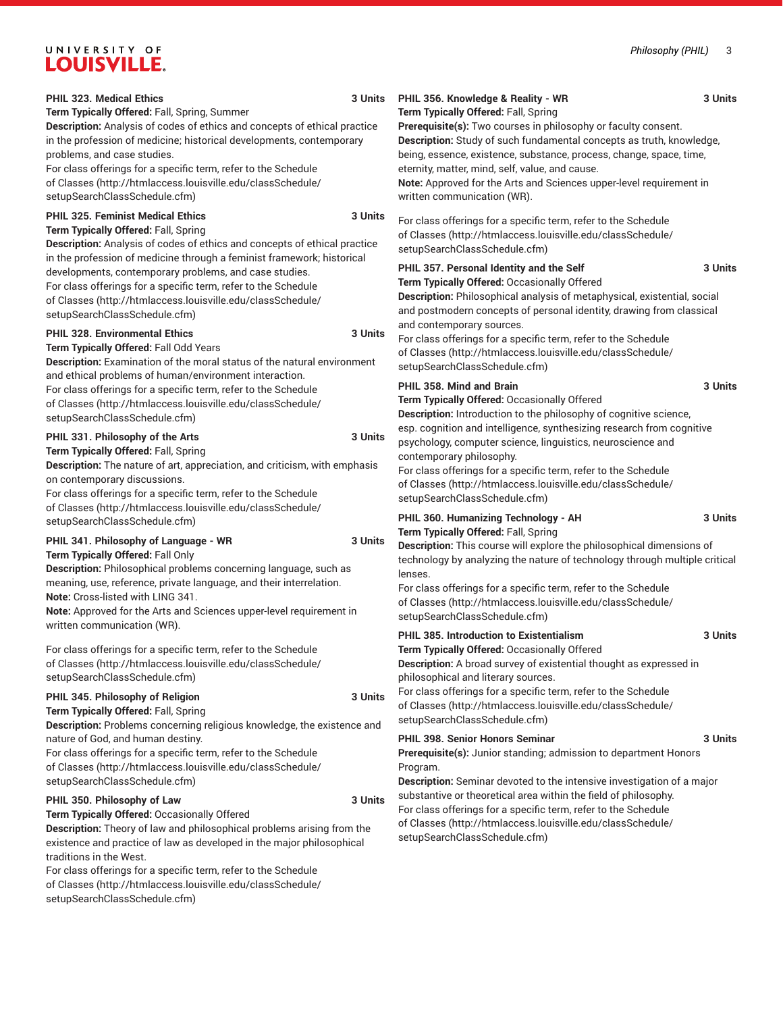# UNIVERSITY OF LOUISVILLE.

[setupSearchClassSchedule.cfm\)](http://htmlaccess.louisville.edu/classSchedule/setupSearchClassSchedule.cfm)

| <b>PHIL 323. Medical Ethics</b><br>3 Units<br>Term Typically Offered: Fall, Spring, Summer<br>Description: Analysis of codes of ethics and concepts of ethical practice<br>in the profession of medicine; historical developments, contemporary<br>problems, and case studies.<br>For class offerings for a specific term, refer to the Schedule<br>of Classes (http://htmlaccess.louisville.edu/classSchedule/<br>setupSearchClassSchedule.cfm)<br>PHIL 325. Feminist Medical Ethics<br>3 Units<br>Term Typically Offered: Fall, Spring<br>Description: Analysis of codes of ethics and concepts of ethical practice | 3 Units<br>PHIL 356. Knowledge & Reality - WR<br>Term Typically Offered: Fall, Spring<br>Prerequisite(s): Two courses in philosophy or faculty consent.<br>Description: Study of such fundamental concepts as truth, knowledge,<br>being, essence, existence, substance, process, change, space, time,<br>eternity, matter, mind, self, value, and cause.<br>Note: Approved for the Arts and Sciences upper-level requirement in<br>written communication (WR).<br>For class offerings for a specific term, refer to the Schedule<br>of Classes (http://htmlaccess.louisville.edu/classSchedule/<br>setupSearchClassSchedule.cfm) |
|-----------------------------------------------------------------------------------------------------------------------------------------------------------------------------------------------------------------------------------------------------------------------------------------------------------------------------------------------------------------------------------------------------------------------------------------------------------------------------------------------------------------------------------------------------------------------------------------------------------------------|-----------------------------------------------------------------------------------------------------------------------------------------------------------------------------------------------------------------------------------------------------------------------------------------------------------------------------------------------------------------------------------------------------------------------------------------------------------------------------------------------------------------------------------------------------------------------------------------------------------------------------------|
| in the profession of medicine through a feminist framework; historical<br>developments, contemporary problems, and case studies.<br>For class offerings for a specific term, refer to the Schedule<br>of Classes (http://htmlaccess.louisville.edu/classSchedule/<br>setupSearchClassSchedule.cfm)<br><b>PHIL 328. Environmental Ethics</b><br>3 Units<br>Term Typically Offered: Fall Odd Years<br><b>Description:</b> Examination of the moral status of the natural environment                                                                                                                                    | PHIL 357. Personal Identity and the Self<br>3 Units<br>Term Typically Offered: Occasionally Offered<br>Description: Philosophical analysis of metaphysical, existential, social<br>and postmodern concepts of personal identity, drawing from classical<br>and contemporary sources.<br>For class offerings for a specific term, refer to the Schedule<br>of Classes (http://htmlaccess.louisville.edu/classSchedule/<br>setupSearchClassSchedule.cfm)                                                                                                                                                                            |
| and ethical problems of human/environment interaction.<br>For class offerings for a specific term, refer to the Schedule<br>of Classes (http://htmlaccess.louisville.edu/classSchedule/<br>setupSearchClassSchedule.cfm)<br>PHIL 331. Philosophy of the Arts<br>3 Units<br>Term Typically Offered: Fall, Spring<br><b>Description:</b> The nature of art, appreciation, and criticism, with emphasis<br>on contemporary discussions.                                                                                                                                                                                  | PHIL 358. Mind and Brain<br>3 Units<br>Term Typically Offered: Occasionally Offered<br>Description: Introduction to the philosophy of cognitive science,<br>esp. cognition and intelligence, synthesizing research from cognitive<br>psychology, computer science, linguistics, neuroscience and<br>contemporary philosophy.<br>For class offerings for a specific term, refer to the Schedule<br>of Classes (http://htmlaccess.louisville.edu/classSchedule/                                                                                                                                                                     |
| For class offerings for a specific term, refer to the Schedule<br>of Classes (http://htmlaccess.louisville.edu/classSchedule/<br>setupSearchClassSchedule.cfm)<br>PHIL 341. Philosophy of Language - WR<br>3 Units<br>Term Typically Offered: Fall Only<br>Description: Philosophical problems concerning language, such as<br>meaning, use, reference, private language, and their interrelation.<br>Note: Cross-listed with LING 341.<br>Note: Approved for the Arts and Sciences upper-level requirement in                                                                                                        | setupSearchClassSchedule.cfm)<br>PHIL 360. Humanizing Technology - AH<br>3 Units<br>Term Typically Offered: Fall, Spring<br>Description: This course will explore the philosophical dimensions of<br>technology by analyzing the nature of technology through multiple critical<br>lenses.<br>For class offerings for a specific term, refer to the Schedule<br>of Classes (http://htmlaccess.louisville.edu/classSchedule/                                                                                                                                                                                                       |
| written communication (WR).<br>For class offerings for a specific term, refer to the Schedule<br>of Classes (http://htmlaccess.louisville.edu/classSchedule/<br>setupSearchClassSchedule.cfm)<br>PHIL 345. Philosophy of Religion<br>3 Units<br>Term Typically Offered: Fall, Spring<br>Description: Problems concerning religious knowledge, the existence and                                                                                                                                                                                                                                                       | setupSearchClassSchedule.cfm)<br><b>PHIL 385. Introduction to Existentialism</b><br>3 Units<br>Term Typically Offered: Occasionally Offered<br>Description: A broad survey of existential thought as expressed in<br>philosophical and literary sources.<br>For class offerings for a specific term, refer to the Schedule<br>of Classes (http://htmlaccess.louisville.edu/classSchedule/<br>setupSearchClassSchedule.cfm)                                                                                                                                                                                                        |
| nature of God, and human destiny.<br>For class offerings for a specific term, refer to the Schedule<br>of Classes (http://htmlaccess.louisville.edu/classSchedule/<br>setupSearchClassSchedule.cfm)<br>PHIL 350. Philosophy of Law<br>3 Units<br>Term Typically Offered: Occasionally Offered<br>Description: Theory of law and philosophical problems arising from the<br>existence and practice of law as developed in the major philosophical<br>traditions in the West.<br>For class offerings for a specific term, refer to the Schedule<br>of Classes (http://htmlaccess.louisville.edu/classSchedule/          | PHIL 398. Senior Honors Seminar<br>3 Units<br>Prerequisite(s): Junior standing; admission to department Honors<br>Program.<br>Description: Seminar devoted to the intensive investigation of a major<br>substantive or theoretical area within the field of philosophy.<br>For class offerings for a specific term, refer to the Schedule<br>of Classes (http://htmlaccess.louisville.edu/classSchedule/<br>setupSearchClassSchedule.cfm)                                                                                                                                                                                         |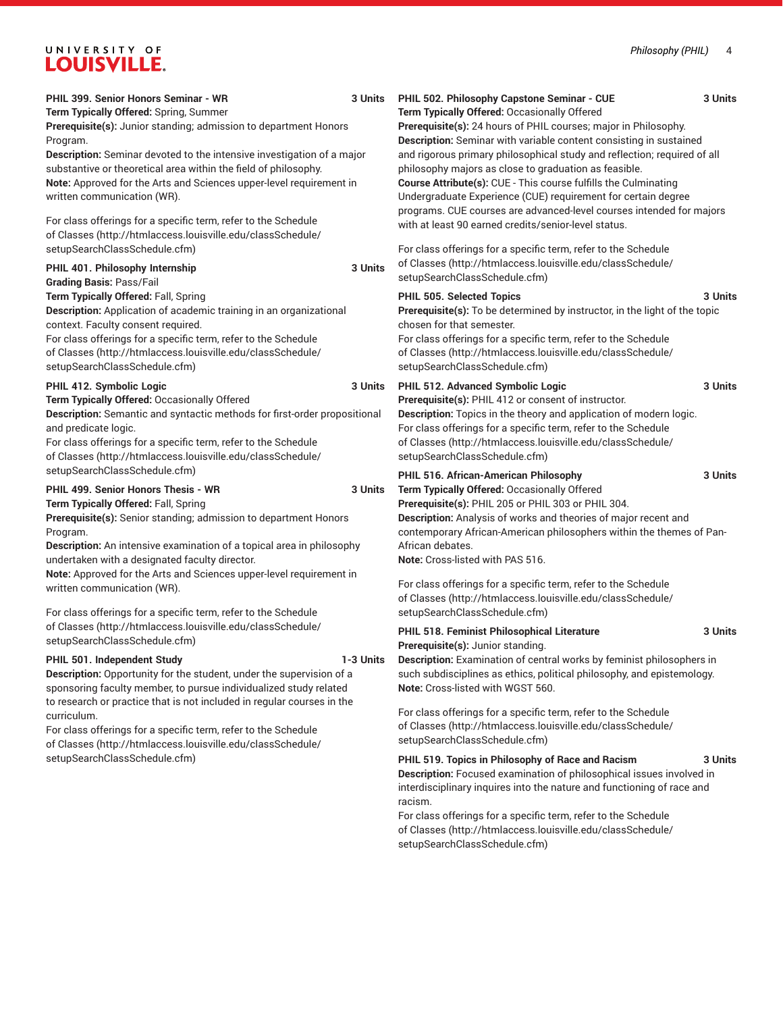# UNIVERSITY OF LOUISVILLE.

| PHIL 399. Senior Honors Seminar - WR<br>Term Typically Offered: Spring, Summer<br>Prerequisite(s): Junior standing; admission to department Honors<br>Program.<br>Description: Seminar devoted to the intensive investigation of a major<br>substantive or theoretical area within the field of philosophy.<br>Note: Approved for the Arts and Sciences upper-level requirement in<br>written communication (WR).<br>For class offerings for a specific term, refer to the Schedule                                                                                                                   | 3 Units   | PHIL 502. Philosophy Capstone Seminar - CUE<br>Term Typically Offered: Occasionally Offered<br>Prerequisite(s): 24 hours of PHIL courses; major in Philosophy.<br>Description: Seminar with variable content consisting in sustained<br>and rigorous primary philosophical study and reflection; required of all<br>philosophy majors as close to graduation as feasible.<br>Course Attribute(s): CUE - This course fulfills the Culminating<br>Undergraduate Experience (CUE) requirement for certain degree<br>programs. CUE courses are advanced-level courses intended for majors<br>with at least 90 earned credits/senior-level status.                                      | 3 Units            |
|-------------------------------------------------------------------------------------------------------------------------------------------------------------------------------------------------------------------------------------------------------------------------------------------------------------------------------------------------------------------------------------------------------------------------------------------------------------------------------------------------------------------------------------------------------------------------------------------------------|-----------|------------------------------------------------------------------------------------------------------------------------------------------------------------------------------------------------------------------------------------------------------------------------------------------------------------------------------------------------------------------------------------------------------------------------------------------------------------------------------------------------------------------------------------------------------------------------------------------------------------------------------------------------------------------------------------|--------------------|
| of Classes (http://htmlaccess.louisville.edu/classSchedule/<br>setupSearchClassSchedule.cfm)<br>PHIL 401. Philosophy Internship<br><b>Grading Basis: Pass/Fail</b>                                                                                                                                                                                                                                                                                                                                                                                                                                    | 3 Units   | For class offerings for a specific term, refer to the Schedule<br>of Classes (http://htmlaccess.louisville.edu/classSchedule/<br>setupSearchClassSchedule.cfm)                                                                                                                                                                                                                                                                                                                                                                                                                                                                                                                     |                    |
| Term Typically Offered: Fall, Spring<br>Description: Application of academic training in an organizational<br>context. Faculty consent required.<br>For class offerings for a specific term, refer to the Schedule<br>of Classes (http://htmlaccess.louisville.edu/classSchedule/<br>setupSearchClassSchedule.cfm)                                                                                                                                                                                                                                                                                    |           | PHIL 505. Selected Topics<br><b>Prerequisite(s):</b> To be determined by instructor, in the light of the topic<br>chosen for that semester.<br>For class offerings for a specific term, refer to the Schedule<br>of Classes (http://htmlaccess.louisville.edu/classSchedule/<br>setupSearchClassSchedule.cfm)                                                                                                                                                                                                                                                                                                                                                                      | 3 Units            |
| PHIL 412. Symbolic Logic<br>Term Typically Offered: Occasionally Offered<br>Description: Semantic and syntactic methods for first-order propositional<br>and predicate logic.<br>For class offerings for a specific term, refer to the Schedule<br>of Classes (http://htmlaccess.louisville.edu/classSchedule/<br>setupSearchClassSchedule.cfm)                                                                                                                                                                                                                                                       | 3 Units   | PHIL 512. Advanced Symbolic Logic<br>Prerequisite(s): PHIL 412 or consent of instructor.<br>Description: Topics in the theory and application of modern logic.<br>For class offerings for a specific term, refer to the Schedule<br>of Classes (http://htmlaccess.louisville.edu/classSchedule/<br>setupSearchClassSchedule.cfm)                                                                                                                                                                                                                                                                                                                                                   | 3 Units            |
| PHIL 499. Senior Honors Thesis - WR<br>Term Typically Offered: Fall, Spring<br>Prerequisite(s): Senior standing; admission to department Honors<br>Program.<br><b>Description:</b> An intensive examination of a topical area in philosophy<br>undertaken with a designated faculty director.<br>Note: Approved for the Arts and Sciences upper-level requirement in<br>written communication (WR).                                                                                                                                                                                                   | 3 Units   | PHIL 516. African-American Philosophy<br>Term Typically Offered: Occasionally Offered<br>Prerequisite(s): PHIL 205 or PHIL 303 or PHIL 304.<br>Description: Analysis of works and theories of major recent and<br>contemporary African-American philosophers within the themes of Pan-<br>African debates.<br>Note: Cross-listed with PAS 516.<br>For class offerings for a specific term, refer to the Schedule<br>of Classes (http://htmlaccess.louisville.edu/classSchedule/                                                                                                                                                                                                    | 3 Units            |
| For class offerings for a specific term, refer to the Schedule<br>of Classes (http://htmlaccess.louisville.edu/classSchedule/<br>setupSearchClassSchedule.cfm)<br>PHIL 501. Independent Study<br>Description: Opportunity for the student, under the supervision of a<br>sponsoring faculty member, to pursue individualized study related<br>to research or practice that is not included in regular courses in the<br>curriculum.<br>For class offerings for a specific term, refer to the Schedule<br>of Classes (http://htmlaccess.louisville.edu/classSchedule/<br>setupSearchClassSchedule.cfm) | 1-3 Units | setupSearchClassSchedule.cfm)<br>PHIL 518. Feminist Philosophical Literature<br>Prerequisite(s): Junior standing.<br>Description: Examination of central works by feminist philosophers in<br>such subdisciplines as ethics, political philosophy, and epistemology.<br>Note: Cross-listed with WGST 560.<br>For class offerings for a specific term, refer to the Schedule<br>of Classes (http://htmlaccess.louisville.edu/classSchedule/<br>setupSearchClassSchedule.cfm)<br>PHIL 519. Topics in Philosophy of Race and Racism<br>Description: Focused examination of philosophical issues involved in<br>interdisciplinary inquires into the nature and functioning of race and | 3 Units<br>3 Units |
|                                                                                                                                                                                                                                                                                                                                                                                                                                                                                                                                                                                                       |           | racism.<br>For class offerings for a specific term, refer to the Schedule<br>of Classes (http://htmlaccess.louisville.edu/classSchedule/<br>setupSearchClassSchedule.cfm)                                                                                                                                                                                                                                                                                                                                                                                                                                                                                                          |                    |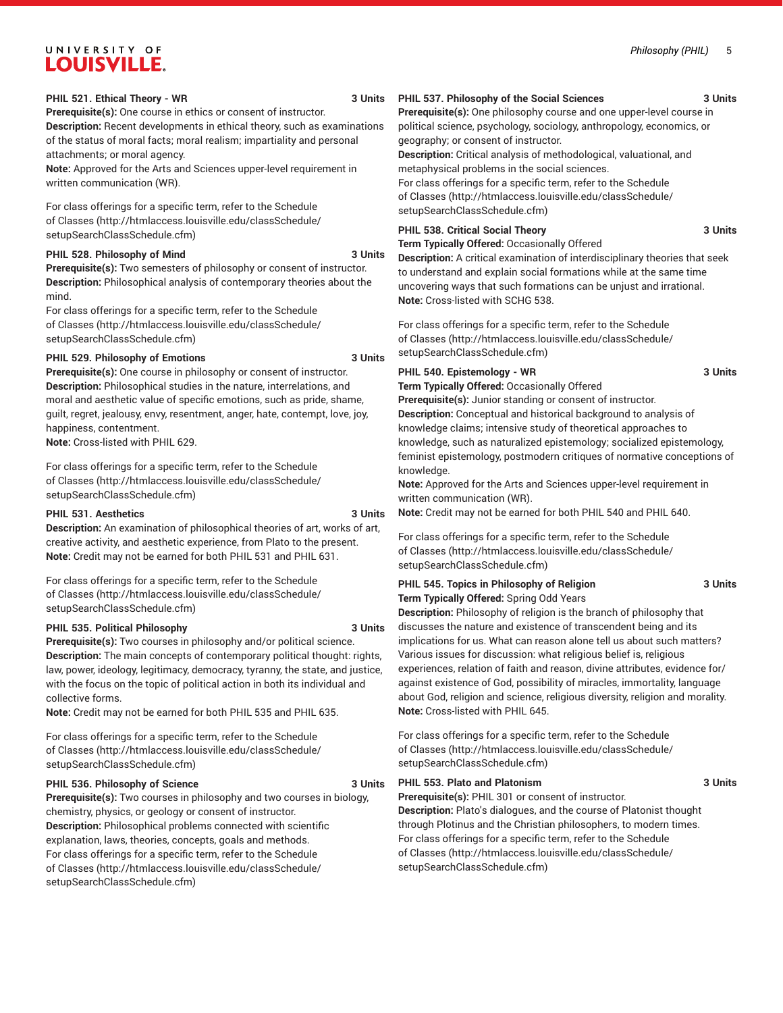# UNIVERSITY OF **LOUISVILLE.**

#### **PHIL 521. Ethical Theory - WR 3 Units**

**Prerequisite(s):** One course in ethics or consent of instructor. **Description:** Recent developments in ethical theory, such as examinations of the status of moral facts; moral realism; impartiality and personal attachments; or moral agency.

**Note:** Approved for the Arts and Sciences upper-level requirement in written communication (WR).

For class offerings for a specific term, refer to the [Schedule](http://htmlaccess.louisville.edu/classSchedule/setupSearchClassSchedule.cfm) [of Classes \(http://htmlaccess.louisville.edu/classSchedule/](http://htmlaccess.louisville.edu/classSchedule/setupSearchClassSchedule.cfm) [setupSearchClassSchedule.cfm\)](http://htmlaccess.louisville.edu/classSchedule/setupSearchClassSchedule.cfm)

#### PHIL 528. Philosophy of Mind 3 Units

**Prerequisite(s):** Two semesters of philosophy or consent of instructor. **Description:** Philosophical analysis of contemporary theories about the mind.

For class offerings for a specific term, refer to the [Schedule](http://htmlaccess.louisville.edu/classSchedule/setupSearchClassSchedule.cfm) [of Classes \(http://htmlaccess.louisville.edu/classSchedule/](http://htmlaccess.louisville.edu/classSchedule/setupSearchClassSchedule.cfm) [setupSearchClassSchedule.cfm\)](http://htmlaccess.louisville.edu/classSchedule/setupSearchClassSchedule.cfm)

#### **PHIL 529. Philosophy of Emotions 3 Units**

**Prerequisite(s):** One course in philosophy or consent of instructor. **Description:** Philosophical studies in the nature, interrelations, and moral and aesthetic value of specific emotions, such as pride, shame, guilt, regret, jealousy, envy, resentment, anger, hate, contempt, love, joy, happiness, contentment.

**Note:** Cross-listed with PHIL 629.

For class offerings for a specific term, refer to the [Schedule](http://htmlaccess.louisville.edu/classSchedule/setupSearchClassSchedule.cfm) [of Classes \(http://htmlaccess.louisville.edu/classSchedule/](http://htmlaccess.louisville.edu/classSchedule/setupSearchClassSchedule.cfm) [setupSearchClassSchedule.cfm\)](http://htmlaccess.louisville.edu/classSchedule/setupSearchClassSchedule.cfm)

#### **PHIL 531. Aesthetics** 3 Units

**Description:** An examination of philosophical theories of art, works of art, creative activity, and aesthetic experience, from Plato to the present. **Note:** Credit may not be earned for both PHIL 531 and PHIL 631.

For class offerings for a specific term, refer to the [Schedule](http://htmlaccess.louisville.edu/classSchedule/setupSearchClassSchedule.cfm) [of Classes \(http://htmlaccess.louisville.edu/classSchedule/](http://htmlaccess.louisville.edu/classSchedule/setupSearchClassSchedule.cfm) [setupSearchClassSchedule.cfm\)](http://htmlaccess.louisville.edu/classSchedule/setupSearchClassSchedule.cfm)

#### **PHIL 535. Political Philosophy 3 Units**

**Prerequisite(s):** Two courses in philosophy and/or political science. **Description:** The main concepts of contemporary political thought: rights, law, power, ideology, legitimacy, democracy, tyranny, the state, and justice, with the focus on the topic of political action in both its individual and collective forms.

**Note:** Credit may not be earned for both PHIL 535 and PHIL 635.

For class offerings for a specific term, refer to the [Schedule](http://htmlaccess.louisville.edu/classSchedule/setupSearchClassSchedule.cfm) [of Classes \(http://htmlaccess.louisville.edu/classSchedule/](http://htmlaccess.louisville.edu/classSchedule/setupSearchClassSchedule.cfm) [setupSearchClassSchedule.cfm\)](http://htmlaccess.louisville.edu/classSchedule/setupSearchClassSchedule.cfm)

#### **PHIL 536. Philosophy of Science 3 Units**

**Prerequisite(s):** Two courses in philosophy and two courses in biology, chemistry, physics, or geology or consent of instructor. **Description:** Philosophical problems connected with scientific explanation, laws, theories, concepts, goals and methods. For class offerings for a specific term, refer to the [Schedule](http://htmlaccess.louisville.edu/classSchedule/setupSearchClassSchedule.cfm) [of Classes \(http://htmlaccess.louisville.edu/classSchedule/](http://htmlaccess.louisville.edu/classSchedule/setupSearchClassSchedule.cfm) [setupSearchClassSchedule.cfm\)](http://htmlaccess.louisville.edu/classSchedule/setupSearchClassSchedule.cfm)

**PHIL 537. Philosophy of the Social Sciences 3 Units**

**Prerequisite(s):** One philosophy course and one upper-level course in political science, psychology, sociology, anthropology, economics, or geography; or consent of instructor.

**Description:** Critical analysis of methodological, valuational, and metaphysical problems in the social sciences.

For class offerings for a specific term, refer to the [Schedule](http://htmlaccess.louisville.edu/classSchedule/setupSearchClassSchedule.cfm) [of Classes](http://htmlaccess.louisville.edu/classSchedule/setupSearchClassSchedule.cfm) ([http://htmlaccess.louisville.edu/classSchedule/](http://htmlaccess.louisville.edu/classSchedule/setupSearchClassSchedule.cfm) [setupSearchClassSchedule.cfm\)](http://htmlaccess.louisville.edu/classSchedule/setupSearchClassSchedule.cfm)

#### **PHIL 538. Critical Social Theory 3 Units**

**Term Typically Offered:** Occasionally Offered

**Description:** A critical examination of interdisciplinary theories that seek to understand and explain social formations while at the same time uncovering ways that such formations can be unjust and irrational. **Note:** Cross-listed with SCHG 538.

For class offerings for a specific term, refer to the [Schedule](http://htmlaccess.louisville.edu/classSchedule/setupSearchClassSchedule.cfm) [of Classes](http://htmlaccess.louisville.edu/classSchedule/setupSearchClassSchedule.cfm) ([http://htmlaccess.louisville.edu/classSchedule/](http://htmlaccess.louisville.edu/classSchedule/setupSearchClassSchedule.cfm) [setupSearchClassSchedule.cfm\)](http://htmlaccess.louisville.edu/classSchedule/setupSearchClassSchedule.cfm)

### PHIL 540. Epistemology - WR 3 Units

**Term Typically Offered:** Occasionally Offered

**Prerequisite(s):** Junior standing or consent of instructor. **Description:** Conceptual and historical background to analysis of knowledge claims; intensive study of theoretical approaches to knowledge, such as naturalized epistemology; socialized epistemology, feminist epistemology, postmodern critiques of normative conceptions of knowledge.

**Note:** Approved for the Arts and Sciences upper-level requirement in written communication (WR).

**Note:** Credit may not be earned for both PHIL 540 and PHIL 640.

For class offerings for a specific term, refer to the [Schedule](http://htmlaccess.louisville.edu/classSchedule/setupSearchClassSchedule.cfm) [of Classes](http://htmlaccess.louisville.edu/classSchedule/setupSearchClassSchedule.cfm) ([http://htmlaccess.louisville.edu/classSchedule/](http://htmlaccess.louisville.edu/classSchedule/setupSearchClassSchedule.cfm) [setupSearchClassSchedule.cfm\)](http://htmlaccess.louisville.edu/classSchedule/setupSearchClassSchedule.cfm)

#### **PHIL 545. Topics in Philosophy of Religion 3 Units Term Typically Offered:** Spring Odd Years

**Description:** Philosophy of religion is the branch of philosophy that discusses the nature and existence of transcendent being and its implications for us. What can reason alone tell us about such matters? Various issues for discussion: what religious belief is, religious experiences, relation of faith and reason, divine attributes, evidence for/ against existence of God, possibility of miracles, immortality, language about God, religion and science, religious diversity, religion and morality. **Note:** Cross-listed with PHIL 645.

For class offerings for a specific term, refer to the [Schedule](http://htmlaccess.louisville.edu/classSchedule/setupSearchClassSchedule.cfm) [of Classes](http://htmlaccess.louisville.edu/classSchedule/setupSearchClassSchedule.cfm) ([http://htmlaccess.louisville.edu/classSchedule/](http://htmlaccess.louisville.edu/classSchedule/setupSearchClassSchedule.cfm) [setupSearchClassSchedule.cfm\)](http://htmlaccess.louisville.edu/classSchedule/setupSearchClassSchedule.cfm)

#### **PHIL 553. Plato and Platonism 3 Units**

**Prerequisite(s):** PHIL 301 or consent of instructor. **Description:** Plato's dialogues, and the course of Platonist thought through Plotinus and the Christian philosophers, to modern times. For class offerings for a specific term, refer to the [Schedule](http://htmlaccess.louisville.edu/classSchedule/setupSearchClassSchedule.cfm) [of Classes](http://htmlaccess.louisville.edu/classSchedule/setupSearchClassSchedule.cfm) ([http://htmlaccess.louisville.edu/classSchedule/](http://htmlaccess.louisville.edu/classSchedule/setupSearchClassSchedule.cfm) [setupSearchClassSchedule.cfm\)](http://htmlaccess.louisville.edu/classSchedule/setupSearchClassSchedule.cfm)